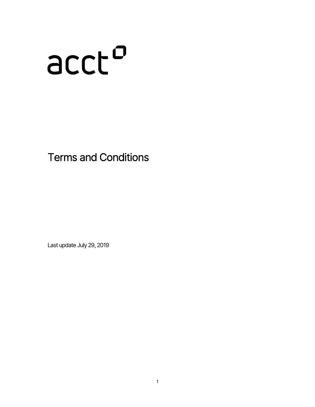# ncch

Terms and Conditions

Last update July 29, 2019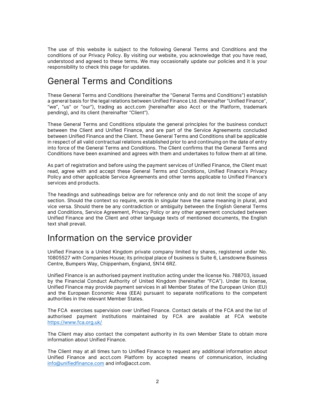The use of this website is subject to the following General Terms and Conditions and the conditions of our Privacy Policy. By visiting our website, you acknowledge that you have read, understood and agreed to these terms. We may occasionally update our policies and it is your responsibility to check this page for updates.

#### General Terms and Conditions

These General Terms and Conditions (hereinafter the "General Terms and Conditions") establish a general basis for the legal relations between Unified Finance Ltd. (hereinafter "Unified Finance", "we", "us" or "our"), trading as acct.com (hereinafter also Acct or the Platform, trademark pending), and its client (hereinafter "Client").

These General Terms and Conditions stipulate the general principles for the business conduct between the Client and Unified Finance, and are part of the Service Agreements concluded between Unified Finance and the Client. These General Terms and Conditions shall be applicable in respect of all valid contractual relations established prior to and continuing on the date of entry into force of the General Terms and Conditions. The Client confirms that the General Terms and Conditions have been examined and agrees with them and undertakes to follow them at all time.

As part of registration and before using the payment services of Unified Finance, the Client must read, agree with and accept these General Terms and Conditions, Unified Finance's Privacy Policy and other applicable Service Agreements and other terms applicable to Unified Finance's services and products.

The headings and subheadings below are for reference only and do not limit the scope of any section. Should the context so require, words in singular have the same meaning in plural, and vice versa. Should there be any contradiction or ambiguity between the English General Terms and Conditions, Service Agreement, Privacy Policy or any other agreement concluded between Unified Finance and the Client and other language texts of mentioned documents, the English text shall prevail.

#### Information on the service provider

Unified Finance is a United Kingdom private company limited by shares, registered under No. 10805527 with Companies House; its principal place of business is Suite 6, Lansdowne Business Centre, Bumpers Way, Chippenham, England, SN14 6RZ.

Unified Finance is an authorised payment institution acting under the license No. 788703, issued by the Financial Conduct Authority of United Kingdom (hereinafter "FCA"). Under its license, Unified Finance may provide payment services in all Member States of the European Union (EU) and the European Economic Area (EEA) pursuant to separate notifications to the competent authorities in the relevant Member States.

The FCA exercises supervision over Unified Finance. Contact details of the FCA and the list of authorised payment institutions maintained by FCA are available at FCA website https://www.fca.org.uk/

The Client may also contact the competent authority in its own Member State to obtain more information about Unified Finance.

The Client may at all times turn to Unified Finance to request any additional information about Unified Finance and acct.com Platform by accepted means of communication, including info@unifiedfinance.com and info@acct.com.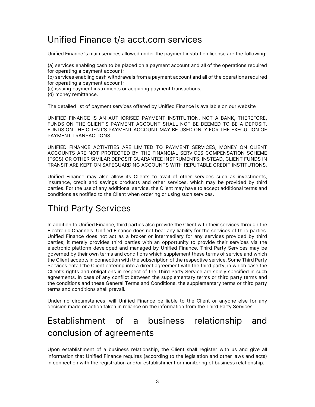#### Unified Finance t/a acct.com services

Unified Finance 's main services allowed under the payment institution license are the following:

(a) services enabling cash to be placed on a payment account and all of the operations required for operating a payment account;

- (b) services enabling cash withdrawals from a payment account and all of the operations required for operating a payment account;
- (c) issuing payment instruments or acquiring payment transactions;
- (d) money remittance.

The detailed list of payment services offered by Unified Finance is available on our website

UNIFIED FINANCE IS AN AUTHORISED PAYMENT INSTITUTION, NOT A BANK, THEREFORE, FUNDS ON THE CLIENT'S PAYMENT ACCOUNT SHALL NOT BE DEEMED TO BE A DEPOSIT. FUNDS ON THE CLIENT'S PAYMENT ACCOUNT MAY BE USED ONLY FOR THE EXECUTION OF PAYMENT TRANSACTIONS.

UNIFIED FINANCE ACTIVITIES ARE LIMITED TO PAYMENT SERVICES, MONEY ON CLIENT ACCOUNTS ARE NOT PROTECTED BY THE FINANCIAL SERVICES COMPENSATION SCHEME (FSCS) OR OTHER SIMILAR DEPOSIT GUARANTEE INSTRUMENTS. INSTEAD, CLIENT FUNDS IN TRANSIT ARE KEPT ON SAFEGUARDING ACCOUNTS WITH REPUTABLE CREDIT INSTITUTIONS.

Unified Finance may also allow its Clients to avail of other services such as investments, insurance, credit and savings products and other services, which may be provided by third parties. For the use of any additional service, the Client may have to accept additional terms and conditions as notified to the Client when ordering or using such services.

## Third Party Services

In addition to Unified Finance, third parties also provide the Client with their services through the Electronic Channels. Unified Finance does not bear any liability for the services of third parties. Unified Finance does not act as a broker or intermediary for any services provided by third parties; it merely provides third parties with an opportunity to provide their services via the electronic platform developed and managed by Unified Finance. Third Party Services may be governed by their own terms and conditions which supplement these terms of service and which the Client accepts in connection with the subscription of the respective service. Some Third Party Services entail the Client entering into a direct agreement with the third party, in which case the Client's rights and obligations in respect of the Third Party Service are solely specified in such agreements. In case of any conflict between the supplementary terms or third party terms and the conditions and these General Terms and Conditions, the supplementary terms or third party terms and conditions shall prevail.

Under no circumstances, will Unified Finance be liable to the Client or anyone else for any decision made or action taken in reliance on the information from the Third Party Services.

## Establishment of a business relationship and conclusion of agreements

Upon establishment of a business relationship, the Client shall register with us and give all information that Unified Finance requires (according to the legislation and other laws and acts) in connection with the registration and/or establishment or monitoring of business relationship.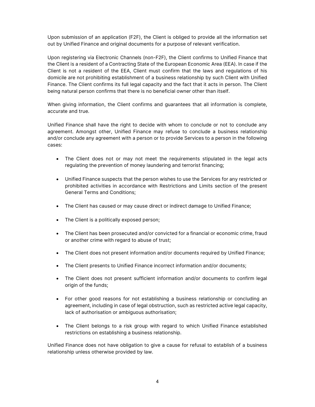Upon submission of an application (F2F), the Client is obliged to provide all the information set out by Unified Finance and original documents for a purpose of relevant verification.

Upon registering via Electronic Channels (non-F2F), the Client confirms to Unified Finance that the Client is a resident of a Contracting State of the European Economic Area (EEA). In case if the Client is not a resident of the EEA, Client must confirm that the laws and regulations of his domicile are not prohibiting establishment of a business relationship by such Client with Unified Finance. The Client confirms its full legal capacity and the fact that it acts in person. The Client being natural person confirms that there is no beneficial owner other than itself.

When giving information, the Client confirms and guarantees that all information is complete, accurate and true.

Unified Finance shall have the right to decide with whom to conclude or not to conclude any agreement. Amongst other, Unified Finance may refuse to conclude a business relationship and/or conclude any agreement with a person or to provide Services to a person in the following cases:

- The Client does not or may not meet the requirements stipulated in the legal acts regulating the prevention of money laundering and terrorist financing;
- Unified Finance suspects that the person wishes to use the Services for any restricted or prohibited activities in accordance with Restrictions and Limits section of the present General Terms and Conditions;
- The Client has caused or may cause direct or indirect damage to Unified Finance;
- The Client is a politically exposed person;
- The Client has been prosecuted and/or convicted for a financial or economic crime, fraud or another crime with regard to abuse of trust;
- The Client does not present information and/or documents required by Unified Finance;
- The Client presents to Unified Finance incorrect information and/or documents;
- The Client does not present sufficient information and/or documents to confirm legal origin of the funds;
- For other good reasons for not establishing a business relationship or concluding an agreement, including in case of legal obstruction, such as restricted active legal capacity, lack of authorisation or ambiguous authorisation;
- The Client belongs to a risk group with regard to which Unified Finance established restrictions on establishing a business relationship.

Unified Finance does not have obligation to give a cause for refusal to establish of a business relationship unless otherwise provided by law.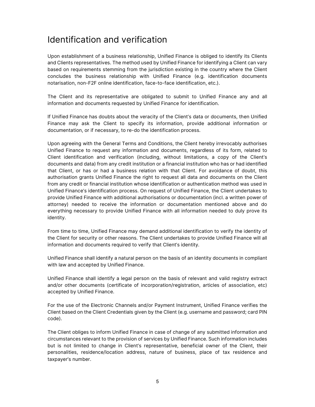#### Identification and verification

Upon establishment of a business relationship, Unified Finance is obliged to identify its Clients and Clients representatives. The method used by Unified Finance for identifying a Client can vary based on requirements stemming from the jurisdiction existing in the country where the Client concludes the business relationship with Unified Finance (e.g. identification documents notarisation, non-F2F online identification, face-to-face identification, etc.).

The Client and its representative are obligated to submit to Unified Finance any and all information and documents requested by Unified Finance for identification.

If Unified Finance has doubts about the veracity of the Client's data or documents, then Unified Finance may ask the Client to specify its information, provide additional information or documentation, or if necessary, to re-do the identification process.

Upon agreeing with the General Terms and Conditions, the Client hereby irrevocably authorises Unified Finance to request any information and documents, regardless of its form, related to Client identification and verification (including, without limitations, a copy of the Client's documents and data) from any credit institution or a financial institution who has or had identified that Client, or has or had a business relation with that Client. For avoidance of doubt, this authorisation grants Unified Finance the right to request all data and documents on the Client from any credit or financial institution whose identification or authentication method was used in Unified Finance's identification process. On request of Unified Finance, the Client undertakes to provide Unified Finance with additional authorisations or documentation (incl. a written power of attorney) needed to receive the information or documentation mentioned above and do everything necessary to provide Unified Finance with all information needed to duly prove its identity.

From time to time, Unified Finance may demand additional identification to verify the identity of the Client for security or other reasons. The Client undertakes to provide Unified Finance will all information and documents required to verify that Client's identity.

Unified Finance shall identify a natural person on the basis of an identity documents in compliant with law and accepted by Unified Finance.

Unified Finance shall identify a legal person on the basis of relevant and valid registry extract and/or other documents (certificate of incorporation/registration, articles of association, etc) accepted by Unified Finance.

For the use of the Electronic Channels and/or Payment Instrument, Unified Finance verifies the Client based on the Client Credentials given by the Client (e.g. username and password; card PIN code).

The Client obliges to inform Unified Finance in case of change of any submitted information and circumstances relevant to the provision of services by Unified Finance. Such information includes but is not limited to change in Client's representative, beneficial owner of the Client, their personalities, residence/location address, nature of business, place of tax residence and taxpayer's number.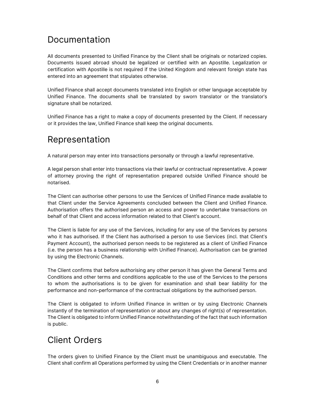#### Documentation

All documents presented to Unified Finance by the Client shall be originals or notarized copies. Documents issued abroad should be legalized or certified with an Apostille. Legalization or certification with Apostille is not required if the United Kingdom and relevant foreign state has entered into an agreement that stipulates otherwise.

Unified Finance shall accept documents translated into English or other language acceptable by Unified Finance. The documents shall be translated by sworn translator or the translator's signature shall be notarized.

Unified Finance has a right to make a copy of documents presented by the Client. If necessary or it provides the law, Unified Finance shall keep the original documents.

#### Representation

A natural person may enter into transactions personally or through a lawful representative.

A legal person shall enter into transactions via their lawful or contractual representative. A power of attorney proving the right of representation prepared outside Unified Finance should be notarised.

The Client can authorise other persons to use the Services of Unified Finance made available to that Client under the Service Agreements concluded between the Client and Unified Finance. Authorisation offers the authorised person an access and power to undertake transactions on behalf of that Client and access information related to that Client's account.

The Client is liable for any use of the Services, including for any use of the Services by persons who it has authorised. If the Client has authorised a person to use Services (incl. that Client's Payment Account), the authorised person needs to be registered as a client of Unified Finance (i.e. the person has a business relationship with Unified Finance). Authorisation can be granted by using the Electronic Channels.

The Client confirms that before authorising any other person it has given the General Terms and Conditions and other terms and conditions applicable to the use of the Services to the persons to whom the authorisations is to be given for examination and shall bear liability for the performance and non-performance of the contractual obligations by the authorised person.

The Client is obligated to inform Unified Finance in written or by using Electronic Channels instantly of the termination of representation or about any changes of right(s) of representation. The Client is obligated to inform Unified Finance notwithstanding of the fact that such information is public.

#### Client Orders

The orders given to Unified Finance by the Client must be unambiguous and executable. The Client shall confirm all Operations performed by using the Client Credentials or in another manner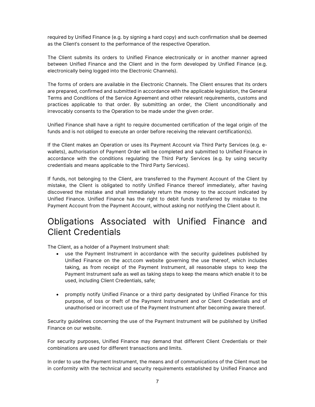required by Unified Finance (e.g. by signing a hard copy) and such confirmation shall be deemed as the Client's consent to the performance of the respective Operation.

The Client submits its orders to Unified Finance electronically or in another manner agreed between Unified Finance and the Client and in the form developed by Unified Finance (e.g. electronically being logged into the Electronic Channels).

The forms of orders are available in the Electronic Channels. The Client ensures that its orders are prepared, confirmed and submitted in accordance with the applicable legislation, the General Terms and Conditions of the Service Agreement and other relevant requirements, customs and practices applicable to that order. By submitting an order, the Client unconditionally and irrevocably consents to the Operation to be made under the given order.

Unified Finance shall have a right to require documented certification of the legal origin of the funds and is not obliged to execute an order before receiving the relevant certification(s).

If the Client makes an Operation or uses its Payment Account via Third Party Services (e.g. ewallets), authorisation of Payment Order will be completed and submitted to Unified Finance in accordance with the conditions regulating the Third Party Services (e.g. by using security credentials and means applicable to the Third Party Services).

If funds, not belonging to the Client, are transferred to the Payment Account of the Client by mistake, the Client is obligated to notify Unified Finance thereof immediately, after having discovered the mistake and shall immediately return the money to the account indicated by Unified Finance. Unified Finance has the right to debit funds transferred by mistake to the Payment Account from the Payment Account, without asking nor notifying the Client about it.

#### Obligations Associated with Unified Finance and Client Credentials

The Client, as a holder of a Payment Instrument shall:

- use the Payment Instrument in accordance with the security guidelines published by Unified Finance on the acct.com website governing the use thereof, which includes taking, as from receipt of the Payment Instrument, all reasonable steps to keep the Payment Instrument safe as well as taking steps to keep the means which enable it to be used, including Client Credentials, safe;
- promptly notify Unified Finance or a third party designated by Unified Finance for this purpose, of loss or theft of the Payment Instrument and or Client Credentials and of unauthorised or incorrect use of the Payment Instrument after becoming aware thereof.

Security guidelines concerning the use of the Payment Instrument will be published by Unified Finance on our website.

For security purposes, Unified Finance may demand that different Client Credentials or their combinations are used for different transactions and limits.

In order to use the Payment Instrument, the means and of communications of the Client must be in conformity with the technical and security requirements established by Unified Finance and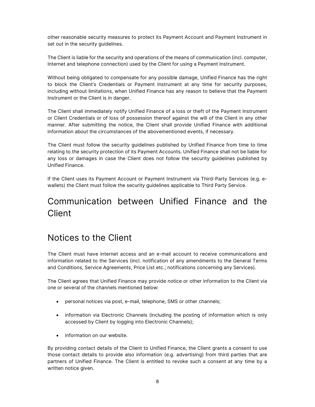other reasonable security measures to protect its Payment Account and Payment Instrument in set out in the security guidelines.

The Client is liable for the security and operations of the means of communication (incl. computer, Internet and telephone connection) used by the Client for using a Payment Instrument.

Without being obligated to compensate for any possible damage, Unified Finance has the right to block the Client's Credentials or Payment Instrument at any time for security purposes, including without limitations, when Unified Finance has any reason to believe that the Payment Instrument or the Client is in danger.

The Client shall immediately notify Unified Finance of a loss or theft of the Payment Instrument or Client Credentials or of loss of possession thereof against the will of the Client in any other manner. After submitting the notice, the Client shall provide Unified Finance with additional information about the circumstances of the abovementioned events, if necessary.

The Client must follow the security guidelines published by Unified Finance from time to time relating to the security protection of its Payment Accounts. Unified Finance shall not be liable for any loss or damages in case the Client does not follow the security guidelines published by Unified Finance.

If the Client uses its Payment Account or Payment Instrument via Third-Party Services (e.g. ewallets) the Client must follow the security guidelines applicable to Third Party Service.

## Communication between Unified Finance and the **Client**

#### Notices to the Client

The Client must have internet access and an e-mail account to receive communications and information related to the Services (incl. notification of any amendments to the General Terms and Conditions, Service Agreements, Price List etc.; notifications concerning any Services).

The Client agrees that Unified Finance may provide notice or other information to the Client via one or several of the channels mentioned below:

- personal notices via post, e-mail, telephone, SMS or other channels;
- information via Electronic Channels (including the posting of information which is only accessed by Client by logging into Electronic Channels);
- information on our website.

By providing contact details of the Client to Unified Finance, the Client grants a consent to use those contact details to provide also information (e.g. advertising) from third parties that are partners of Unified Finance. The Client is entitled to revoke such a consent at any time by a written notice given.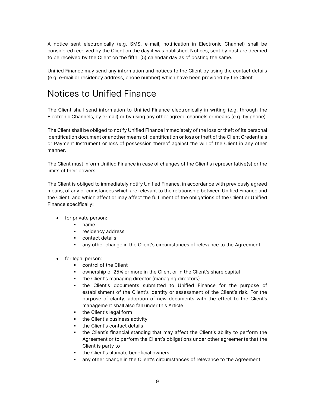A notice sent electronically (e.g. SMS, e-mail, notification in Electronic Channel) shall be considered received by the Client on the day it was published. Notices, sent by post are deemed to be received by the Client on the fifth (5) calendar day as of posting the same.

Unified Finance may send any information and notices to the Client by using the contact details (e.g. e-mail or residency address, phone number) which have been provided by the Client.

#### Notices to Unified Finance

The Client shall send information to Unified Finance electronically in writing (e.g. through the Electronic Channels, by e-mail) or by using any other agreed channels or means (e.g. by phone).

The Client shall be obliged to notify Unified Finance immediately of the loss or theft of its personal identification document or another means of identification or loss or theft of the Client Credentials or Payment Instrument or loss of possession thereof against the will of the Client in any other manner.

The Client must inform Unified Finance in case of changes of the Client's representative(s) or the limits of their powers.

The Client is obliged to immediately notify Unified Finance, in accordance with previously agreed means, of any circumstances which are relevant to the relationship between Unified Finance and the Client, and which affect or may affect the fulfilment of the obligations of the Client or Unified Finance specifically:

- for private person:
	- name
	- **•** residency address
	- **Contact details**
	- any other change in the Client's circumstances of relevance to the Agreement.
- for legal person:
	- control of the Client
	- ownership of 25% or more in the Client or in the Client's share capital
	- the Client's managing director (managing directors)
	- the Client's documents submitted to Unified Finance for the purpose of establishment of the Client's identity or assessment of the Client's risk. For the purpose of clarity, adoption of new documents with the effect to the Client's management shall also fall under this Article
	- the Client's legal form
	- the Client's business activity
	- the Client's contact details
	- the Client's financial standing that may affect the Client's ability to perform the Agreement or to perform the Client's obligations under other agreements that the Client is party to
	- the Client's ultimate beneficial owners
	- any other change in the Client's circumstances of relevance to the Agreement.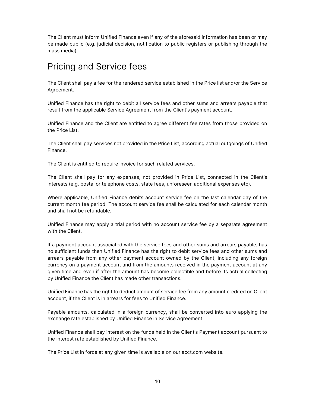The Client must inform Unified Finance even if any of the aforesaid information has been or may be made public (e.g. judicial decision, notification to public registers or publishing through the mass media).

#### Pricing and Service fees

The Client shall pay a fee for the rendered service established in the Price list and/or the Service Agreement.

Unified Finance has the right to debit all service fees and other sums and arrears payable that result from the applicable Service Agreement from the Client's payment account.

Unified Finance and the Client are entitled to agree different fee rates from those provided on the Price List.

The Client shall pay services not provided in the Price List, according actual outgoings of Unified Finance.

The Client is entitled to require invoice for such related services.

The Client shall pay for any expenses, not provided in Price List, connected in the Client's interests (e.g. postal or telephone costs, state fees, unforeseen additional expenses etc).

Where applicable, Unified Finance debits account service fee on the last calendar day of the current month fee period. The account service fee shall be calculated for each calendar month and shall not be refundable.

Unified Finance may apply a trial period with no account service fee by a separate agreement with the Client.

If a payment account associated with the service fees and other sums and arrears payable, has no sufficient funds then Unified Finance has the right to debit service fees and other sums and arrears payable from any other payment account owned by the Client, including any foreign currency on a payment account and from the amounts received in the payment account at any given time and even if after the amount has become collectible and before its actual collecting by Unified Finance the Client has made other transactions.

Unified Finance has the right to deduct amount of service fee from any amount credited on Client account, if the Client is in arrears for fees to Unified Finance.

Payable amounts, calculated in a foreign currency, shall be converted into euro applying the exchange rate established by Unified Finance in Service Agreement.

Unified Finance shall pay interest on the funds held in the Client's Payment account pursuant to the interest rate established by Unified Finance.

The Price List in force at any given time is available on our acct.com website.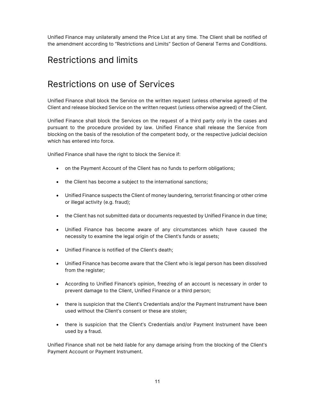Unified Finance may unilaterally amend the Price List at any time. The Client shall be notified of the amendment according to "Restrictions and Limits" Section of General Terms and Conditions.

#### Restrictions and limits

#### Restrictions on use of Services

Unified Finance shall block the Service on the written request (unless otherwise agreed) of the Client and release blocked Service on the written request (unless otherwise agreed) of the Client.

Unified Finance shall block the Services on the request of a third party only in the cases and pursuant to the procedure provided by law. Unified Finance shall release the Service from blocking on the basis of the resolution of the competent body, or the respective judicial decision which has entered into force.

Unified Finance shall have the right to block the Service if:

- on the Payment Account of the Client has no funds to perform obligations;
- the Client has become a subject to the international sanctions;
- Unified Finance suspects the Client of money laundering, terrorist financing or other crime or illegal activity (e.g. fraud);
- the Client has not submitted data or documents requested by Unified Finance in due time;
- Unified Finance has become aware of any circumstances which have caused the necessity to examine the legal origin of the Client's funds or assets;
- Unified Finance is notified of the Client's death;
- Unified Finance has become aware that the Client who is legal person has been dissolved from the register;
- According to Unified Finance's opinion, freezing of an account is necessary in order to prevent damage to the Client, Unified Finance or a third person;
- there is suspicion that the Client's Credentials and/or the Payment Instrument have been used without the Client's consent or these are stolen;
- there is suspicion that the Client's Credentials and/or Payment Instrument have been used by a fraud.

Unified Finance shall not be held liable for any damage arising from the blocking of the Client's Payment Account or Payment Instrument.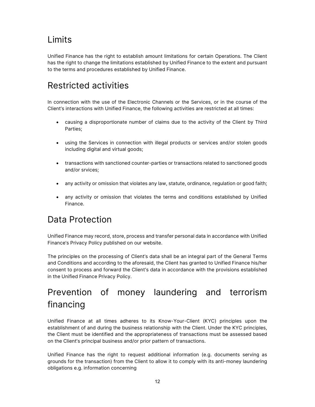## Limits

Unified Finance has the right to establish amount limitations for certain Operations. The Client has the right to change the limitations established by Unified Finance to the extent and pursuant to the terms and procedures established by Unified Finance.

## Restricted activities

In connection with the use of the Electronic Channels or the Services, or in the course of the Client's interactions with Unified Finance, the following activities are restricted at all times:

- causing a disproportionate number of claims due to the activity of the Client by Third Parties;
- using the Services in connection with illegal products or services and/or stolen goods including digital and virtual goods;
- transactions with sanctioned counter-parties or transactions related to sanctioned goods and/or srvices;
- any activity or omission that violates any law, statute, ordinance, regulation or good faith;
- any activity or omission that violates the terms and conditions established by Unified Finance.

## Data Protection

Unified Finance may record, store, process and transfer personal data in accordance with Unified Finance's Privacy Policy published on our website.

The principles on the processing of Client's data shall be an integral part of the General Terms and Conditions and according to the aforesaid, the Client has granted to Unified Finance his/her consent to process and forward the Client's data in accordance with the provisions established in the Unified Finance Privacy Policy.

## Prevention of money laundering and terrorism financing

Unified Finance at all times adheres to its Know-Your-Client (KYC) principles upon the establishment of and during the business relationship with the Client. Under the KYC principles, the Client must be identified and the appropriateness of transactions must be assessed based on the Client's principal business and/or prior pattern of transactions.

Unified Finance has the right to request additional information (e.g. documents serving as grounds for the transaction) from the Client to allow it to comply with its anti-money laundering obligations e.g. information concerning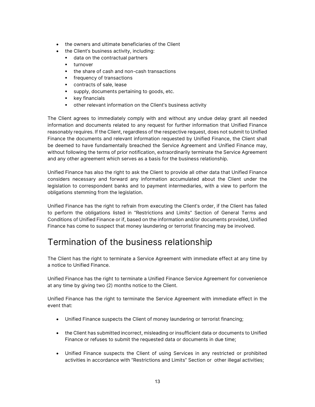- the owners and ultimate beneficiaries of the Client
- the Client's business activity, including:
	- data on the contractual partners
	- turnover
	- the share of cash and non-cash transactions
	- **fivalled** frequency of transactions
	- contracts of sale, lease
	- supply, documents pertaining to goods, etc.
	- **key financials**
	- other relevant information on the Client's business activity

The Client agrees to immediately comply with and without any undue delay grant all needed information and documents related to any request for further information that Unified Finance reasonably requires. If the Client, regardless of the respective request, does not submit to Unified Finance the documents and relevant information requested by Unified Finance, the Client shall be deemed to have fundamentally breached the Service Agreement and Unified Finance may, without following the terms of prior notification, extraordinarily terminate the Service Agreement and any other agreement which serves as a basis for the business relationship.

Unified Finance has also the right to ask the Client to provide all other data that Unified Finance considers necessary and forward any information accumulated about the Client under the legislation to correspondent banks and to payment intermediaries, with a view to perform the obligations stemming from the legislation.

Unified Finance has the right to refrain from executing the Client's order, if the Client has failed to perform the obligations listed in "Restrictions and Limits" Section of General Terms and Conditions of Unified Finance or if, based on the information and/or documents provided, Unified Finance has come to suspect that money laundering or terrorist financing may be involved.

#### Termination of the business relationship

The Client has the right to terminate a Service Agreement with immediate effect at any time by a notice to Unified Finance.

Unified Finance has the right to terminate a Unified Finance Service Agreement for convenience at any time by giving two (2) months notice to the Client.

Unified Finance has the right to terminate the Service Agreement with immediate effect in the event that:

- Unified Finance suspects the Client of money laundering or terrorist financing;
- the Client has submitted incorrect, misleading or insufficient data or documents to Unified Finance or refuses to submit the requested data or documents in due time;
- Unified Finance suspects the Client of using Services in any restricted or prohibited activities in accordance with "Restrictions and Limits" Section or other illegal activities;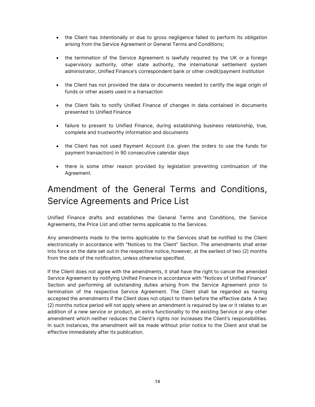- the Client has intentionally or due to gross negligence failed to perform its obligation arising from the Service Agreement or General Terms and Conditions;
- the termination of the Service Agreement is lawfully required by the UK or a foreign supervisory authority, other state authority, the international settlement system administrator, Unified Finance's correspondent bank or other credit/payment institution
- the Client has not provided the data or documents needed to certify the legal origin of funds or other assets used in a transaction
- the Client fails to notify Unified Finance of changes in data contained in documents presented to Unified Finance
- failure to present to Unified Finance, during establishing business relationship, true, complete and trustworthy information and documents
- the Client has not used Payment Account (i.e. given the orders to use the funds for payment transaction) in 90 consecutive calendar days
- there is some other reason provided by legislation preventing continuation of the Agreement.

## Amendment of the General Terms and Conditions, Service Agreements and Price List

Unified Finance drafts and establishes the General Terms and Conditions, the Service Agreements, the Price List and other terms applicable to the Services.

Any amendments made to the terms applicable to the Services shall be notified to the Client electronically in accordance with "Notices to the Client" Section. The amendments shall enter into force on the date set out in the respective notice, however, at the earliest of two (2) months from the date of the notification, unless otherwise specified.

If the Client does not agree with the amendments, it shall have the right to cancel the amended Service Agreement by notifying Unified Finance in accordance with "Notices of Unified Finance" Section and performing all outstanding duties arising from the Service Agreement prior to termination of the respective Service Agreement. The Client shall be regarded as having accepted the amendments if the Client does not object to them before the effective date. A two (2) months notice period will not apply where an amendment is required by law or it relates to an addition of a new service or product, an extra functionality to the existing Service or any other amendment which neither reduces the Client's rights nor increases the Client's responsibilities. In such instances, the amendment will be made without prior notice to the Client and shall be effective immediately after its publication.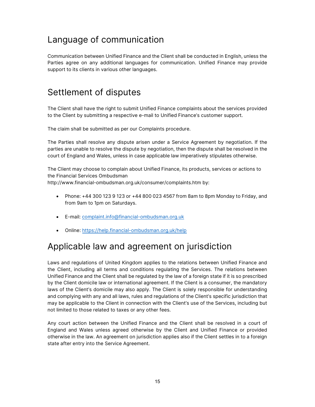## Language of communication

Communication between Unified Finance and the Client shall be conducted in English, unless the Parties agree on any additional languages for communication. Unified Finance may provide support to its clients in various other languages.

#### Settlement of disputes

The Client shall have the right to submit Unified Finance complaints about the services provided to the Client by submitting a respective e-mail to Unified Finance's customer support.

The claim shall be submitted as per our Complaints procedure.

The Parties shall resolve any dispute arisen under a Service Agreement by negotiation. If the parties are unable to resolve the dispute by negotiation, then the dispute shall be resolved in the court of England and Wales, unless in case applicable law imperatively stipulates otherwise.

The Client may choose to complain about Unified Finance, its products, services or actions to the Financial Services Ombudsman

http://www.financial-ombudsman.org.uk/consumer/complaints.htm by:

- Phone:  $+44$  300 123 9 123 or  $+44$  800 023 4567 from 8am to 8pm Monday to Friday, and from 9am to 1pm on Saturdays.
- E-mail: complaint.info@financial-ombudsman.org.uk
- Online: https://help.financial-ombudsman.org.uk/help

## Applicable law and agreement on jurisdiction

Laws and regulations of United Kingdom applies to the relations between Unified Finance and the Client, including all terms and conditions regulating the Services. The relations between Unified Finance and the Client shall be regulated by the law of a foreign state if it is so prescribed by the Client domicile law or international agreement. If the Client is a consumer, the mandatory laws of the Client's domicile may also apply. The Client is solely responsible for understanding and complying with any and all laws, rules and regulations of the Client's specific jurisdiction that may be applicable to the Client in connection with the Client's use of the Services, including but not limited to those related to taxes or any other fees.

Any court action between the Unified Finance and the Client shall be resolved in a court of England and Wales unless agreed otherwise by the Client and Unified Finance or provided otherwise in the law. An agreement on jurisdiction applies also if the Client settles in to a foreign state after entry into the Service Agreement.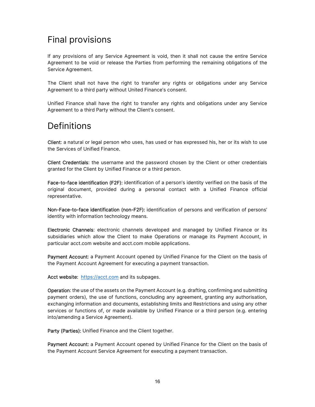## Final provisions

If any provisions of any Service Agreement is void, then it shall not cause the entire Service Agreement to be void or release the Parties from performing the remaining obligations of the Service Agreement.

The Client shall not have the right to transfer any rights or obligations under any Service Agreement to a third party without United Finance's consent.

Unified Finance shall have the right to transfer any rights and obligations under any Service Agreement to a third Party without the Client's consent.

#### Definitions

Client: a natural or legal person who uses, has used or has expressed his, her or its wish to use the Services of Unified Finance.

Client Credentials: the username and the password chosen by the Client or other credentials granted for the Client by Unified Finance or a third person.

Face-to-face identification (F2F): identification of a person's identity verified on the basis of the original document, provided during a personal contact with a Unified Finance official representative.

Non-Face-to-face identification (non-F2F): identification of persons and verification of persons' identity with information technology means.

Electronic Channels: electronic channels developed and managed by Unified Finance or its subsidiaries which allow the Client to make Operations or manage its Payment Account, in particular acct.com website and acct.com mobile applications.

Payment Account: a Payment Account opened by Unified Finance for the Client on the basis of the Payment Account Agreement for executing a payment transaction.

Acct website: https://acct.com and its subpages.

Operation: the use of the assets on the Payment Account (e.g. drafting, confirming and submitting payment orders), the use of functions, concluding any agreement, granting any authorisation, exchanging information and documents, establishing limits and Restrictions and using any other services or functions of, or made available by Unified Finance or a third person (e.g. entering into/amending a Service Agreement).

Party (Parties): Unified Finance and the Client together.

Payment Account: a Payment Account opened by Unified Finance for the Client on the basis of the Payment Account Service Agreement for executing a payment transaction.